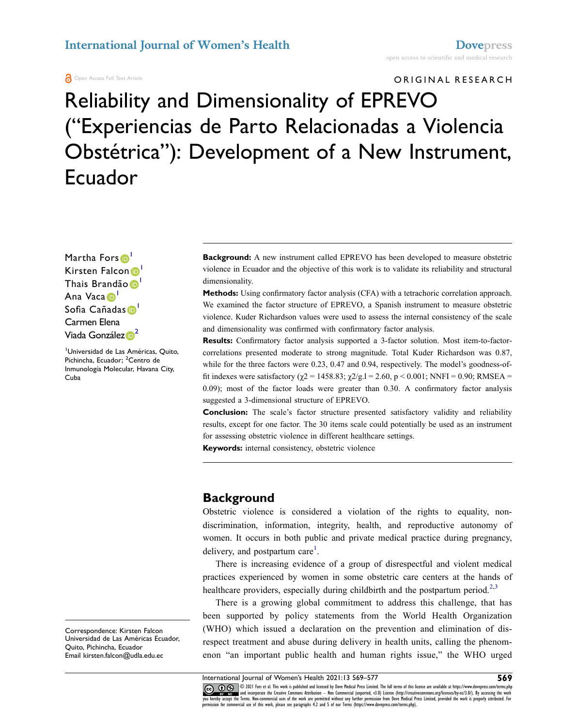#### **International Journal of Women's Health Doversess**

**A** Open Access Full Text Article

#### ORIGINAL RESEARCH

# Reliability and Dimensionality of EPREVO ("Experiencias de Parto Relacionadas a Violencia Obstétrica"): Development of a New Instrument, Ecuador

Martha Fors<sup>1</sup> Kirsten Falcon D Thais Brandão D<sup>1</sup> Ana Vaca D Sofia Cañadas D Carmen Elena Viada Gon[z](http://orcid.org/0000-0002-1604-3545)ález **D**<sup>[2](#page-0-1)</sup>

<span id="page-0-1"></span><span id="page-0-0"></span>1 Universidad de Las Américas, Quito, Pichincha, Ecuador; <sup>2</sup>Centro de Inmunología Molecular, Havana City, Cuba

**Background:** A new instrument called EPREVO has been developed to measure obstetric violence in Ecuador and the objective of this work is to validate its reliability and structural dimensionality.

**Methods:** Using confirmatory factor analysis (CFA) with a tetrachoric correlation approach. We examined the factor structure of EPREVO, a Spanish instrument to measure obstetric violence. Kuder Richardson values were used to assess the internal consistency of the scale and dimensionality was confirmed with confirmatory factor analysis.

**Results:** Confirmatory factor analysis supported a 3-factor solution. Most item-to-factorcorrelations presented moderate to strong magnitude. Total Kuder Richardson was 0.87, while for the three factors were 0.23, 0.47 and 0.94, respectively. The model's goodness-offit indexes were satisfactory ( $χ$ 2 = 1458.83;  $χ$ 2/g.l = 2.60, p < 0.001; NNFI = 0.90; RMSEA = 0.09); most of the factor loads were greater than 0.30. A confirmatory factor analysis suggested a 3-dimensional structure of EPREVO.

**Conclusion:** The scale's factor structure presented satisfactory validity and reliability results, except for one factor. The 30 items scale could potentially be used as an instrument for assessing obstetric violence in different healthcare settings.

**Keywords:** internal consistency, obstetric violence

## **Background**

Obstetric violence is considered a violation of the rights to equality, nondiscrimination, information, integrity, health, and reproductive autonomy of women. It occurs in both public and private medical practice during pregnancy, delivery, and postpartum care $<sup>1</sup>$  $<sup>1</sup>$  $<sup>1</sup>$ .</sup>

<span id="page-0-2"></span>There is increasing evidence of a group of disrespectful and violent medical practices experienced by women in some obstetric care centers at the hands of healthcare providers, especially during childbirth and the postpartum period.<sup>[2](#page-8-1)[,3](#page-8-2)</sup>

<span id="page-0-3"></span>There is a growing global commitment to address this challenge, that has been supported by policy statements from the World Health Organization (WHO) which issued a declaration on the prevention and elimination of disrespect treatment and abuse during delivery in health units, calling the phenomenon "an important public health and human rights issue," the WHO urged

Correspondence: Kirsten Falcon Universidad de Las Américas Ecuador, Quito, Pichincha, Ecuador Email [kirsten.falcon@udla.edu.ec](mailto:kirsten.falcon@udla.edu.ec)

International Journal of Women's Health 2021:13 569–577 **569–101 (1921:13 569–101)**<br> **The Contract State of the State of State State State State State State State State State State State State State State State State State** © 2021 Fors et al. This work is published and licensed by Dove Medical Press Limited. The full tems of this license are available at https://www.dovepress.com/terms.php<br>and incorporate the Creative Commons Attribution — No you hereby accept the Terms. Non-commercial uses of the work are permitted without any further permission from Dove Medical Press Limited, provided the work is properly attributed. For<br>permission for commercial use of this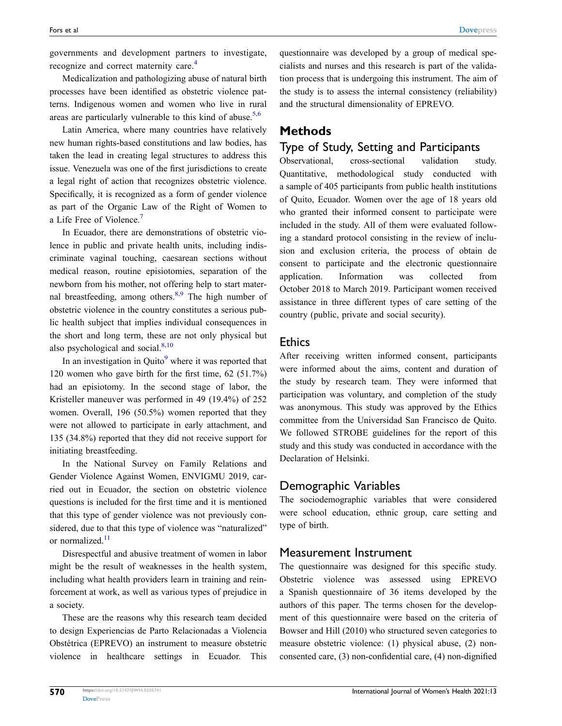<span id="page-1-0"></span>governments and development partners to investigate, recognize and correct maternity care.<sup>[4](#page-8-3)</sup>

Medicalization and pathologizing abuse of natural birth processes have been identified as obstetric violence patterns. Indigenous women and women who live in rural areas are particularly vulnerable to this kind of abuse.<sup>5,[6](#page-8-5)</sup>

<span id="page-1-1"></span>Latin America, where many countries have relatively new human rights-based constitutions and law bodies, has taken the lead in creating legal structures to address this issue. Venezuela was one of the first jurisdictions to create a legal right of action that recognizes obstetric violence. Specifically, it is recognized as a form of gender violence as part of the Organic Law of the Right of Women to a Life Free of Violence.<sup>7</sup>

<span id="page-1-2"></span>In Ecuador, there are demonstrations of obstetric violence in public and private health units, including indiscriminate vaginal touching, caesarean sections without medical reason, routine episiotomies, separation of the newborn from his mother, not offering help to start mater-nal breastfeeding, among others.<sup>[8](#page-8-7),9</sup> The high number of obstetric violence in the country constitutes a serious public health subject that implies individual consequences in the short and long term, these are not only physical but also psychological and social.<sup>[8,](#page-8-7)[10](#page-8-9)</sup>

<span id="page-1-4"></span><span id="page-1-3"></span>In an investigation in Quito $\degree$  where it was reported that 120 women who gave birth for the first time, 62 (51.7%) had an episiotomy. In the second stage of labor, the Kristeller maneuver was performed in 49 (19.4%) of 252 women. Overall, 196 (50.5%) women reported that they were not allowed to participate in early attachment, and 135 (34.8%) reported that they did not receive support for initiating breastfeeding.

In the National Survey on Family Relations and Gender Violence Against Women, ENVIGMU 2019, carried out in Ecuador, the section on obstetric violence questions is included for the first time and it is mentioned that this type of gender violence was not previously considered, due to that this type of violence was "naturalized" or normalized.<sup>11</sup>

Disrespectful and abusive treatment of women in labor might be the result of weaknesses in the health system, including what health providers learn in training and reinforcement at work, as well as various types of prejudice in a society.

These are the reasons why this research team decided to design Experiencias de Parto Relacionadas a Violencia Obstétrica (EPREVO) an instrument to measure obstetric violence in healthcare settings in Ecuador. This questionnaire was developed by a group of medical specialists and nurses and this research is part of the validation process that is undergoing this instrument. The aim of the study is to assess the internal consistency (reliability) and the structural dimensionality of EPREVO.

#### **Methods**

#### Type of Study, Setting and Participants

Observational, cross-sectional validation study. Quantitative, methodological study conducted with a sample of 405 participants from public health institutions of Quito, Ecuador. Women over the age of 18 years old who granted their informed consent to participate were included in the study. All of them were evaluated following a standard protocol consisting in the review of inclusion and exclusion criteria, the process of obtain de consent to participate and the electronic questionnaire application. Information was collected from October 2018 to March 2019. Participant women received assistance in three different types of care setting of the country (public, private and social security).

#### **Ethics**

After receiving written informed consent, participants were informed about the aims, content and duration of the study by research team. They were informed that participation was voluntary, and completion of the study was anonymous. This study was approved by the Ethics committee from the Universidad San Francisco de Quito. We followed STROBE guidelines for the report of this study and this study was conducted in accordance with the Declaration of Helsinki.

## Demographic Variables

The sociodemographic variables that were considered were school education, ethnic group, care setting and type of birth.

#### Measurement Instrument

The questionnaire was designed for this specific study. Obstetric violence was assessed using EPREVO a Spanish questionnaire of 36 items developed by the authors of this paper. The terms chosen for the development of this questionnaire were based on the criteria of Bowser and Hill (2010) who structured seven categories to measure obstetric violence: (1) physical abuse, (2) nonconsented care, (3) non-confidential care, (4) non-dignified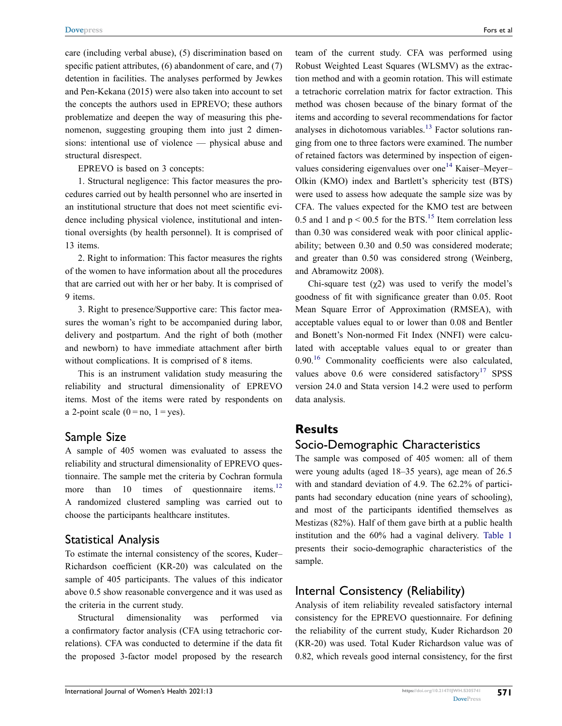care (including verbal abuse), (5) discrimination based on specific patient attributes, (6) abandonment of care, and (7) detention in facilities. The analyses performed by Jewkes and Pen-Kekana (2015) were also taken into account to set the concepts the authors used in EPREVO; these authors problematize and deepen the way of measuring this phenomenon, suggesting grouping them into just 2 dimensions: intentional use of violence — physical abuse and structural disrespect.

EPREVO is based on 3 concepts:

1. Structural negligence: This factor measures the procedures carried out by health personnel who are inserted in an institutional structure that does not meet scientific evidence including physical violence, institutional and intentional oversights (by health personnel). It is comprised of 13 items.

2. Right to information: This factor measures the rights of the women to have information about all the procedures that are carried out with her or her baby. It is comprised of 9 items.

3. Right to presence/Supportive care: This factor measures the woman's right to be accompanied during labor, delivery and postpartum. And the right of both (mother and newborn) to have immediate attachment after birth without complications. It is comprised of 8 items.

This is an instrument validation study measuring the reliability and structural dimensionality of EPREVO items. Most of the items were rated by respondents on a 2-point scale  $(0 = no, 1 = yes)$ .

#### Sample Size

<span id="page-2-0"></span>A sample of 405 women was evaluated to assess the reliability and structural dimensionality of EPREVO questionnaire. The sample met the criteria by Cochran formula more than  $10$  times of questionnaire items.<sup>12</sup> A randomized clustered sampling was carried out to choose the participants healthcare institutes.

## Statistical Analysis

To estimate the internal consistency of the scores, Kuder– Richardson coefficient (KR-20) was calculated on the sample of 405 participants. The values of this indicator above 0.5 show reasonable convergence and it was used as the criteria in the current study.

Structural dimensionality was performed via a confirmatory factor analysis (CFA using tetrachoric correlations). CFA was conducted to determine if the data fit the proposed 3-factor model proposed by the research <span id="page-2-2"></span><span id="page-2-1"></span>team of the current study. CFA was performed using Robust Weighted Least Squares (WLSMV) as the extraction method and with a geomin rotation. This will estimate a tetrachoric correlation matrix for factor extraction. This method was chosen because of the binary format of the items and according to several recommendations for factor analyses in dichotomous variables.<sup>13</sup> Factor solutions ranging from one to three factors were examined. The number of retained factors was determined by inspection of eigen-values considering eigenvalues over one<sup>[14](#page-8-13)</sup> Kaiser–Meyer– Olkin (KMO) index and Bartlett's sphericity test (BTS) were used to assess how adequate the sample size was by CFA. The values expected for the KMO test are between 0.5 and 1 and  $p < 00.5$  for the BTS.<sup>[15](#page-8-14)</sup> Item correlation less than 0.30 was considered weak with poor clinical applicability; between 0.30 and 0.50 was considered moderate; and greater than 0.50 was considered strong (Weinberg, and Abramowitz 2008).

<span id="page-2-4"></span><span id="page-2-3"></span>Chi-square test  $(\gamma_2)$  was used to verify the model's goodness of fit with significance greater than 0.05. Root Mean Square Error of Approximation (RMSEA), with acceptable values equal to or lower than 0.08 and Bentler and Bonett's Non-normed Fit Index (NNFI) were calculated with acceptable values equal to or greater than 0.90.<sup>[16](#page-8-15)</sup> Commonality coefficients were also calculated, values above  $0.6$  were considered satisfactory<sup>[17](#page-8-16)</sup> SPSS version 24.0 and Stata version 14.2 were used to perform data analysis.

## <span id="page-2-5"></span>**Results**

## Socio-Demographic Characteristics

The sample was composed of 405 women: all of them were young adults (aged 18–35 years), age mean of 26.5 with and standard deviation of 4.9. The 62.2% of participants had secondary education (nine years of schooling), and most of the participants identified themselves as Mestizas (82%). Half of them gave birth at a public health institution and the 60% had a vaginal delivery. [Table 1](#page-3-0) presents their socio-demographic characteristics of the sample.

## Internal Consistency (Reliability)

Analysis of item reliability revealed satisfactory internal consistency for the EPREVO questionnaire. For defining the reliability of the current study, Kuder Richardson 20 (KR-20) was used. Total Kuder Richardson value was of 0.82, which reveals good internal consistency, for the first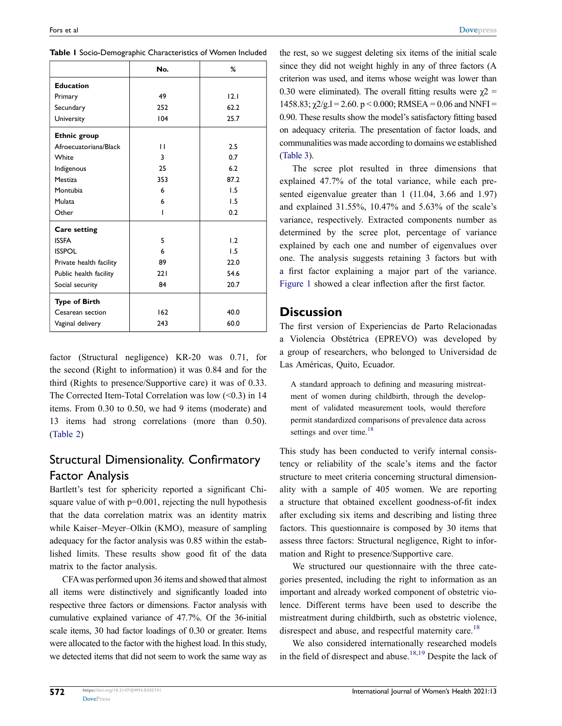|                         | No. | %    |  |  |
|-------------------------|-----|------|--|--|
| <b>Education</b>        |     |      |  |  |
| Primary                 | 49  | 12.1 |  |  |
| Secundary               | 252 | 62.2 |  |  |
| University              | 104 | 25.7 |  |  |
| <b>Ethnic group</b>     |     |      |  |  |
| Afroecuatoriana/Black   | П   | 2.5  |  |  |
| White                   | 3   | 0.7  |  |  |
| Indígenous              | 25  | 6.2  |  |  |
| Mestiza                 | 353 | 87.2 |  |  |
| Montubia                | 6   | 1.5  |  |  |
| Mulata                  | 6   | 1.5  |  |  |
| Other                   |     | 0.2  |  |  |
| <b>Care setting</b>     |     |      |  |  |
| <b>ISSFA</b>            | 5   | 1.2  |  |  |
| <b>ISSPOL</b>           | 6   | 1.5  |  |  |
| Private health facility | 89  | 22.0 |  |  |
| Public health facility  | 221 | 54.6 |  |  |
| Social security         | 84  | 20.7 |  |  |
| <b>Type of Birth</b>    |     |      |  |  |
| Cesarean section        | 162 | 40.0 |  |  |
| Vaginal delivery        | 243 | 60.0 |  |  |

<span id="page-3-0"></span>**Table 1** Socio-Demographic Characteristics of Women Included

factor (Structural negligence) KR-20 was 0.71, for the second (Right to information) it was 0.84 and for the third (Rights to presence/Supportive care) it was of 0.33. The Corrected Item-Total Correlation was low (<0.3) in 14 items. From 0.30 to 0.50, we had 9 items (moderate) and 13 items had strong correlations (more than 0.50). [\(Table 2\)](#page-4-0)

# Structural Dimensionality. Confirmatory Factor Analysis

Bartlett's test for sphericity reported a significant Chisquare value of with  $p=0.001$ , rejecting the null hypothesis that the data correlation matrix was an identity matrix while Kaiser–Meyer–Olkin (KMO), measure of sampling adequacy for the factor analysis was 0.85 within the established limits. These results show good fit of the data matrix to the factor analysis.

CFA was performed upon 36 items and showed that almost all items were distinctively and significantly loaded into respective three factors or dimensions. Factor analysis with cumulative explained variance of 47.7%. Of the 36-initial scale items, 30 had factor loadings of 0.30 or greater. Items were allocated to the factor with the highest load. In this study, we detected items that did not seem to work the same way as the rest, so we suggest deleting six items of the initial scale since they did not weight highly in any of three factors (A criterion was used, and items whose weight was lower than 0.30 were eliminated). The overall fitting results were  $\chi$ 2 = 1458.83;  $\chi$ 2/g.1 = 2.60. p < 0.000; RMSEA = 0.06 and NNFI = 0.90. These results show the model's satisfactory fitting based on adequacy criteria. The presentation of factor loads, and communalities was made according to domains we established [\(Table 3\)](#page-6-0).

The scree plot resulted in three dimensions that explained 47.7% of the total variance, while each presented eigenvalue greater than 1 (11.04, 3.66 and 1.97) and explained 31.55%, 10.47% and 5.63% of the scale's variance, respectively. Extracted components number as determined by the scree plot, percentage of variance explained by each one and number of eigenvalues over one. The analysis suggests retaining 3 factors but with a first factor explaining a major part of the variance. [Figure 1](#page-7-0) showed a clear inflection after the first factor.

#### **Discussion**

The first version of Experiencias de Parto Relacionadas a Violencia Obstétrica (EPREVO) was developed by a group of researchers, who belonged to Universidad de Las Américas, Quito, Ecuador.

A standard approach to defining and measuring mistreatment of women during childbirth, through the development of validated measurement tools, would therefore permit standardized comparisons of prevalence data across settings and over time.<sup>[18](#page-8-17)</sup>

This study has been conducted to verify internal consistency or reliability of the scale's items and the factor structure to meet criteria concerning structural dimensionality with a sample of 405 women. We are reporting a structure that obtained excellent goodness-of-fit index after excluding six items and describing and listing three factors. This questionnaire is composed by 30 items that assess three factors: Structural negligence, Right to information and Right to presence/Supportive care.

We structured our questionnaire with the three categories presented, including the right to information as an important and already worked component of obstetric violence. Different terms have been used to describe the mistreatment during childbirth, such as obstetric violence, disrespect and abuse, and respectful maternity care.<sup>[18](#page-8-17)</sup>

<span id="page-3-1"></span>We also considered internationally researched models in the field of disrespect and abuse.<sup>[18,](#page-8-17)[19](#page-8-18)</sup> Despite the lack of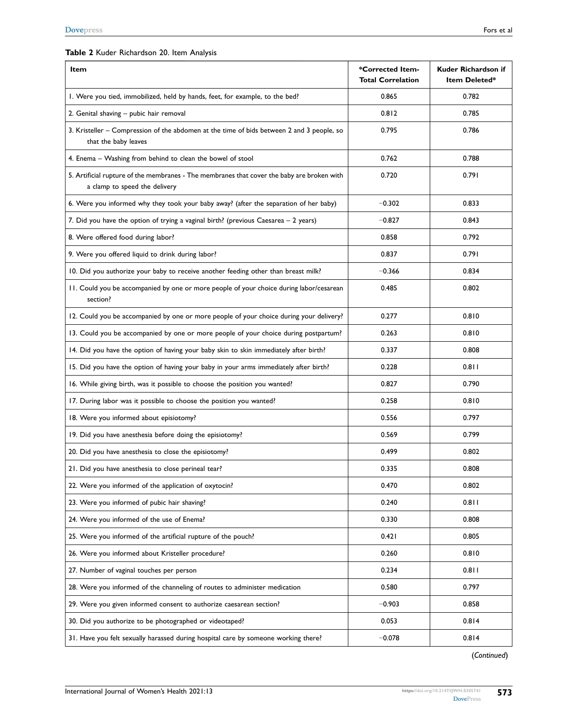#### <span id="page-4-0"></span>**Table 2** Kuder Richardson 20. Item Analysis

| <b>Item</b>                                                                                                                 | *Corrected Item-<br><b>Total Correlation</b> | Kuder Richardson if<br>Item Deleted* |  |
|-----------------------------------------------------------------------------------------------------------------------------|----------------------------------------------|--------------------------------------|--|
| I. Were you tied, immobilized, held by hands, feet, for example, to the bed?                                                | 0.865                                        | 0.782                                |  |
| 2. Genital shaving - pubic hair removal                                                                                     | 0.812                                        | 0.785                                |  |
| 3. Kristeller - Compression of the abdomen at the time of bids between 2 and 3 people, so<br>that the baby leaves           | 0.795                                        | 0.786                                |  |
| 4. Enema - Washing from behind to clean the bowel of stool                                                                  | 0.762                                        | 0.788                                |  |
| 5. Artificial rupture of the membranes - The membranes that cover the baby are broken with<br>a clamp to speed the delivery | 0.720                                        | 0.791                                |  |
| 6. Were you informed why they took your baby away? (after the separation of her baby)                                       | $-0.302$                                     | 0.833                                |  |
| 7. Did you have the option of trying a vaginal birth? (previous Caesarea - 2 years)                                         | $-0.827$                                     | 0.843                                |  |
| 8. Were offered food during labor?                                                                                          | 0.858                                        | 0.792                                |  |
| 9. Were you offered liquid to drink during labor?                                                                           | 0.837                                        | 0.791                                |  |
| 10. Did you authorize your baby to receive another feeding other than breast milk?                                          | $-0.366$                                     | 0.834                                |  |
| 11. Could you be accompanied by one or more people of your choice during labor/cesarean<br>section?                         | 0.485                                        | 0.802                                |  |
| 12. Could you be accompanied by one or more people of your choice during your delivery?                                     | 0.277                                        | 0.810                                |  |
| 13. Could you be accompanied by one or more people of your choice during postpartum?                                        | 0.263                                        | 0.810                                |  |
| 14. Did you have the option of having your baby skin to skin immediately after birth?                                       | 0.337                                        | 0.808                                |  |
| 15. Did you have the option of having your baby in your arms immediately after birth?                                       | 0.228                                        | 0.811                                |  |
| 16. While giving birth, was it possible to choose the position you wanted?                                                  | 0.827                                        | 0.790                                |  |
| 17. During labor was it possible to choose the position you wanted?                                                         | 0.258                                        | 0.810                                |  |
| 18. Were you informed about episiotomy?                                                                                     | 0.556                                        | 0.797                                |  |
| 19. Did you have anesthesia before doing the episiotomy?                                                                    | 0.569                                        | 0.799                                |  |
| 20. Did you have anesthesia to close the episiotomy?                                                                        | 0.499                                        | 0.802                                |  |
| 21. Did you have anesthesia to close perineal tear?                                                                         | 0.335                                        | 0.808                                |  |
| 22. Were you informed of the application of oxytocin?                                                                       | 0.470                                        | 0.802                                |  |
| 23. Were you informed of pubic hair shaving?                                                                                | 0.240                                        | 0.811                                |  |
| 24. Were you informed of the use of Enema?                                                                                  | 0.330                                        | 0.808                                |  |
| 25. Were you informed of the artificial rupture of the pouch?                                                               | 0.421                                        | 0.805                                |  |
| 26. Were you informed about Kristeller procedure?                                                                           | 0.260                                        | 0.810                                |  |
| 27. Number of vaginal touches per person                                                                                    | 0.234                                        | 0.811                                |  |
| 28. Were you informed of the channeling of routes to administer medication                                                  | 0.580                                        | 0.797                                |  |
| 29. Were you given informed consent to authorize caesarean section?                                                         | $-0.903$                                     | 0.858                                |  |
| 30. Did you authorize to be photographed or videotaped?                                                                     | 0.053                                        | 0.814                                |  |
| 31. Have you felt sexually harassed during hospital care by someone working there?                                          | $-0.078$                                     | 0.814                                |  |

(*Continued*)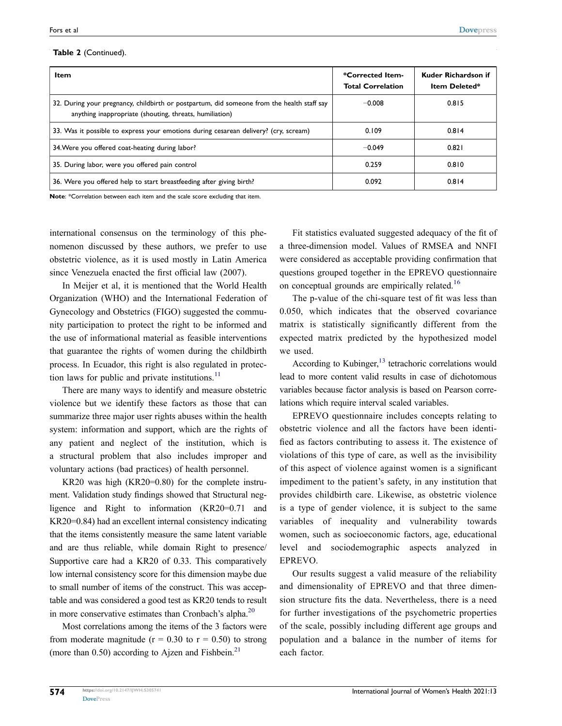#### **Table 2** (Continued).

| Item                                                                                                                                                  | *Corrected Item-<br><b>Total Correlation</b> | Kuder Richardson if<br><b>Item Deleted*</b> |  |
|-------------------------------------------------------------------------------------------------------------------------------------------------------|----------------------------------------------|---------------------------------------------|--|
| 32. During your pregnancy, childbirth or postpartum, did someone from the health staff say<br>anything inappropriate (shouting, threats, humiliation) | $-0.008$                                     | 0.815                                       |  |
| 33. Was it possible to express your emotions during cesarean delivery? (cry, scream)                                                                  | 0.109                                        | 0.814                                       |  |
| 34. Were you offered coat-heating during labor?                                                                                                       | $-0.049$                                     | 0.821                                       |  |
| 35. During labor, were you offered pain control                                                                                                       | 0.259                                        | 0.810                                       |  |
| 36. Were you offered help to start breastfeeding after giving birth?                                                                                  | 0.092                                        | 0.814                                       |  |

**Note**: \*Correlation between each item and the scale score excluding that item.

international consensus on the terminology of this phenomenon discussed by these authors, we prefer to use obstetric violence, as it is used mostly in Latin America since Venezuela enacted the first official law (2007).

In Meijer et al, it is mentioned that the World Health Organization (WHO) and the International Federation of Gynecology and Obstetrics (FIGO) suggested the community participation to protect the right to be informed and the use of informational material as feasible interventions that guarantee the rights of women during the childbirth process. In Ecuador, this right is also regulated in protection laws for public and private institutions. $^{11}$  $^{11}$  $^{11}$ 

There are many ways to identify and measure obstetric violence but we identify these factors as those that can summarize three major user rights abuses within the health system: information and support, which are the rights of any patient and neglect of the institution, which is a structural problem that also includes improper and voluntary actions (bad practices) of health personnel.

KR20 was high (KR20=0.80) for the complete instrument. Validation study findings showed that Structural negligence and Right to information (KR20=0.71 and KR20=0.84) had an excellent internal consistency indicating that the items consistently measure the same latent variable and are thus reliable, while domain Right to presence/ Supportive care had a KR20 of 0.33. This comparatively low internal consistency score for this dimension maybe due to small number of items of the construct. This was acceptable and was considered a good test as KR20 tends to result in more conservative estimates than Cronbach's alpha.<sup>20</sup>

<span id="page-5-1"></span><span id="page-5-0"></span>Most correlations among the items of the 3 factors were from moderate magnitude ( $r = 0.30$  to  $r = 0.50$ ) to strong (more than 0.50) according to Ajzen and Fishbein.<sup>21</sup>

Fit statistics evaluated suggested adequacy of the fit of a three-dimension model. Values of RMSEA and NNFI were considered as acceptable providing confirmation that questions grouped together in the EPREVO questionnaire on conceptual grounds are empirically related.<sup>16</sup>

The p-value of the chi-square test of fit was less than 0.050, which indicates that the observed covariance matrix is statistically significantly different from the expected matrix predicted by the hypothesized model we used.

According to Kubinger, $^{13}$  $^{13}$  $^{13}$  tetrachoric correlations would lead to more content valid results in case of dichotomous variables because factor analysis is based on Pearson correlations which require interval scaled variables.

EPREVO questionnaire includes concepts relating to obstetric violence and all the factors have been identified as factors contributing to assess it. The existence of violations of this type of care, as well as the invisibility of this aspect of violence against women is a significant impediment to the patient's safety, in any institution that provides childbirth care. Likewise, as obstetric violence is a type of gender violence, it is subject to the same variables of inequality and vulnerability towards women, such as socioeconomic factors, age, educational level and sociodemographic aspects analyzed in EPREVO.

Our results suggest a valid measure of the reliability and dimensionality of EPREVO and that three dimension structure fits the data. Nevertheless, there is a need for further investigations of the psychometric properties of the scale, possibly including different age groups and population and a balance in the number of items for each factor.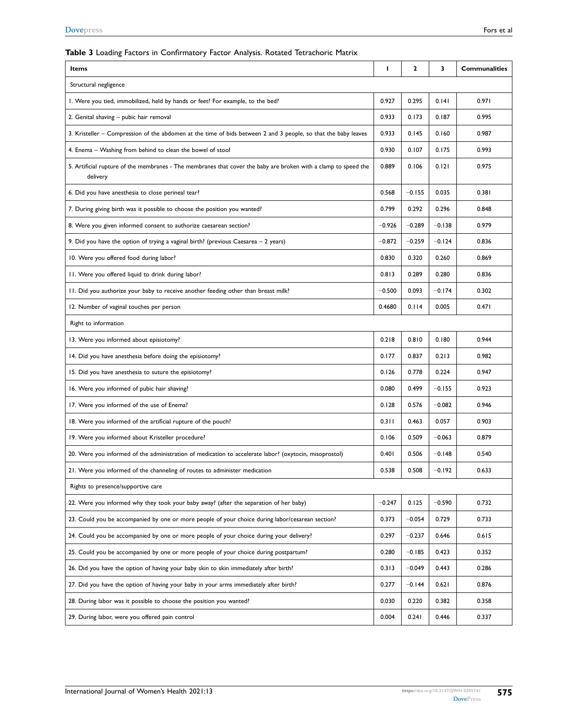#### <span id="page-6-0"></span>**Table 3** Loading Factors in Confirmatory Factor Analysis. Rotated Tetrachoric Matrix

| Items                                                                                                                       | L        | $\mathbf{2}$ | 3        | <b>Communalities</b> |  |  |
|-----------------------------------------------------------------------------------------------------------------------------|----------|--------------|----------|----------------------|--|--|
| Structural negligence                                                                                                       |          |              |          |                      |  |  |
| I. Were you tied, immobilized, held by hands or feet? For example, to the bed?                                              | 0.927    | 0.295        | 0.141    | 0.971                |  |  |
| 2. Genital shaving - pubic hair removal                                                                                     |          | 0.173        | 0.187    | 0.995                |  |  |
| 3. Kristeller – Compression of the abdomen at the time of bids between 2 and 3 people, so that the baby leaves              | 0.933    | 0.145        | 0.160    | 0.987                |  |  |
| 4. Enema – Washing from behind to clean the bowel of stool                                                                  | 0.930    | 0.107        | 0.175    | 0.993                |  |  |
| 5. Artificial rupture of the membranes - The membranes that cover the baby are broken with a clamp to speed the<br>delivery | 0.889    | 0.106        | 0.121    | 0.975                |  |  |
| 6. Did you have anesthesia to close perineal tear?                                                                          |          | $-0.155$     | 0.035    | 0.381                |  |  |
| 7. During giving birth was it possible to choose the position you wanted?                                                   | 0.799    | 0.292        | 0.296    | 0.848                |  |  |
| 8. Were you given informed consent to authorize caesarean section?                                                          | $-0.926$ | $-0.289$     | $-0.138$ | 0.979                |  |  |
| 9. Did you have the option of trying a vaginal birth? (previous Caesarea - 2 years)                                         | $-0.872$ | $-0.259$     | $-0.124$ | 0.836                |  |  |
| 10. Were you offered food during labor?                                                                                     | 0.830    | 0.320        | 0.260    | 0.869                |  |  |
| 11. Were you offered liquid to drink during labor?                                                                          | 0.813    | 0.289        | 0.280    | 0.836                |  |  |
| II. Did you authorize your baby to receive another feeding other than breast milk?                                          | $-0.500$ | 0.093        | $-0.174$ | 0.302                |  |  |
| 12. Number of vaginal touches per person                                                                                    | 0.4680   | 0.114        | 0.005    | 0.471                |  |  |
| Right to information                                                                                                        |          |              |          |                      |  |  |
| 13. Were you informed about episiotomy?                                                                                     | 0.218    | 0.810        | 0.180    | 0.944                |  |  |
| 14. Did you have anesthesia before doing the episiotomy?                                                                    | 0.177    | 0.837        | 0.213    | 0.982                |  |  |
| 15. Did you have anesthesia to suture the episiotomy?                                                                       | 0.126    | 0.778        | 0.224    | 0.947                |  |  |
| 16. Were you informed of pubic hair shaving?                                                                                | 0.080    | 0.499        | $-0.155$ | 0.923                |  |  |
| 17. Were you informed of the use of Enema?                                                                                  | 0.128    | 0.576        | $-0.082$ | 0.946                |  |  |
| 18. Were you informed of the artificial rupture of the pouch?                                                               | 0.311    | 0.463        | 0.057    | 0.903                |  |  |
| 19. Were you informed about Kristeller procedure?                                                                           | 0.106    | 0.509        | $-0.063$ | 0.879                |  |  |
| 20. Were you informed of the administration of medication to accelerate labor? (oxytocin, misoprostol)                      | 0.401    | 0.506        | $-0.148$ | 0.540                |  |  |
| 21. Were you informed of the channeling of routes to administer medication                                                  | 0.538    | 0.508        | $-0.192$ | 0.633                |  |  |
| Rights to presence/supportive care                                                                                          |          |              |          |                      |  |  |
| 22. Were you informed why they took your baby away? (after the separation of her baby)                                      | $-0.247$ | 0.125        | $-0.590$ | 0.732                |  |  |
| 23. Could you be accompanied by one or more people of your choice during labor/cesarean section?                            | 0.373    | $-0.054$     | 0.729    | 0.733                |  |  |
| 24. Could you be accompanied by one or more people of your choice during your delivery?                                     | 0.297    | $-0.237$     | 0.646    | 0.615                |  |  |
| 25. Could you be accompanied by one or more people of your choice during postpartum?                                        | 0.280    | $-0.185$     | 0.423    | 0.352                |  |  |
| 26. Did you have the option of having your baby skin to skin immediately after birth?                                       | 0.313    | $-0.049$     | 0.443    | 0.286                |  |  |
| 27. Did you have the option of having your baby in your arms immediately after birth?                                       | 0.277    | $-0.144$     | 0.621    | 0.876                |  |  |
| 28. During labor was it possible to choose the position you wanted?                                                         | 0.030    | 0.220        | 0.382    | 0.358                |  |  |
| 29. During labor, were you offered pain control                                                                             | 0.004    | 0.241        | 0.446    | 0.337                |  |  |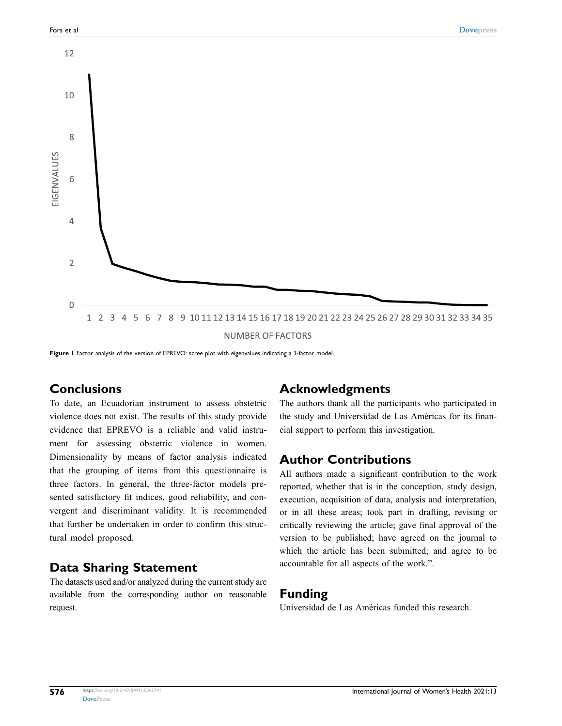<span id="page-7-0"></span>

Figure 1 Factor analysis of the version of EPREVO: scree plot with eigenvalues indicating a 3-factor model.

# **Conclusions**

To date, an Ecuadorian instrument to assess obstetric violence does not exist. The results of this study provide evidence that EPREVO is a reliable and valid instrument for assessing obstetric violence in women. Dimensionality by means of factor analysis indicated that the grouping of items from this questionnaire is three factors. In general, the three-factor models presented satisfactory fit indices, good reliability, and convergent and discriminant validity. It is recommended that further be undertaken in order to confirm this structural model proposed.

#### **Data Sharing Statement**

The datasets used and/or analyzed during the current study are available from the corresponding author on reasonable request.

## **Acknowledgments**

The authors thank all the participants who participated in the study and Universidad de Las Américas for its financial support to perform this investigation.

## **Author Contributions**

All authors made a significant contribution to the work reported, whether that is in the conception, study design, execution, acquisition of data, analysis and interpretation, or in all these areas; took part in drafting, revising or critically reviewing the article; gave final approval of the version to be published; have agreed on the journal to which the article has been submitted; and agree to be accountable for all aspects of the work.".

#### **Funding**

Universidad de Las Américas funded this research.